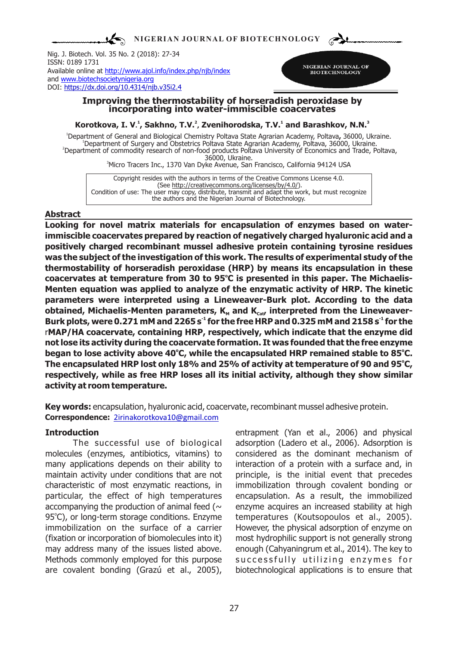$\sum$ **NIGERIAN JOURNAL OF BIOTECHNOLOGY**

Nig. J. Biotech. Vol. 35 No. 2 (2018): 27-34 ISSN: 0189 1731 Available online at http://www.ajol.info/index.php/njb/index and www.biotechsocietynigeria.org DOI: https://dx.doi.org/10.4314/njb.v35i2.4



#### **Improving the thermostability of horseradish peroxidase by incorporating into water-immiscible coacervates**

**<sup>1</sup> <sup>2</sup> <sup>1</sup> <sup>3</sup> Korotkova, I. V. , Sakhno, T.V. , Zvenihorodska, T.V. and Barashkov, N.N.**

Department of commodity research of non-food products Poltava University of Economics and Trade, Poltava, 36000, Ukraine. Department of Surgery and Obstetrics Poltava State Agrarian Academy, Poltava, 36000, Ukraine. Department of General and Biological Chemistry Poltava State Agrarian Academy, Poltava**,** 36000, Ukraine.

<sup>3</sup>Micro Tracers Inc., 1370 Van Dyke Avenue, San Francisсo, California 94124 USA

Copyright resides with the authors in terms of the Creative Commons License 4.0. (See http://creativecommons.org/licenses/by/4.0/). Condition of use: The user may copy, distribute, transmit and adapt the work, but must recognize the authors and the Nigerian Journal of Biotechnology.

### **Abstract**

**Looking for novel matrix materials for encapsulation of enzymes based on waterimmiscible coacervates prepared by reaction of negatively charged hyaluronic acid and a positively charged recombinant mussel adhesive protein containing tyrosine residues was the subject of the investigation of this work. The results of experimental study of the thermostability of horseradish peroxidase (HRP) by means its encapsulation in these**  coacervates at temperature from 30 to 95°C is presented in this paper. The Michaelis-**Menten equation was applied to analyze of the enzymatic activity of HRP. The kinetic parameters were interpreted using a Lineweaver-Burk plot. According to the data obtained, Michaelis-Menten parameters, K<sub>M</sub>** and K<sub>cat</sub>, interpreted from the Lineweaver-**-1 -1 Burk plots, were 0.271 mM and 2265 s for the free HRP and 0.325 mM and 2158 s for the**  r**MAP/HA coacervate, containing HRP, respectively, which indicate that the enzyme did not lose its activity during the coacervate formation. It was founded that the free enzyme o o began to lose activity above 40 C, while the encapsulated HRP remained stable to 85 C. o The encapsulated HRP lost only 18% and 25% of activity at temperature of 90 and 95 C, respectively, while as free HRP loses all its initial activity, although they show similar activity at room temperature.** 

**Key words:** encapsulation, hyaluronic acid, coacervate, recombinant mussel adhesive protein. **Correspondence:** 2irinakorotkova10@gmail.com

## **Introduction**

The successful use of biological molecules (enzymes, antibiotics, vitamins) to many applications depends on their ability to maintain activity under conditions that are not characteristic of most enzymatic reactions, in particular, the effect of high temperatures accompanying the production of animal feed ( $\sim$ 95°C), or long-term storage conditions. Enzyme immobilization on the surface of a carrier (fixation or incorporation of biomolecules into it) may address many of the issues listed above. Methods commonly employed for this purpose are covalent bonding (Grazú et al., 2005),

entrapment (Yan et al., 2006) and physical adsorption (Ladero et al., 2006). Adsorption is considered as the dominant mechanism of interaction of a protein with a surface and, in principle, is the initial event that precedes immobilization through covalent bonding or encapsulation. As a result, the immobilized enzyme acquires an increased stability at high temperatures (Koutsopoulos et al., 2005). However, the physical adsorption of enzyme on most hydrophilic support is not generally strong enough (Cahyaningrum et al., 2014). The key to successfully utilizing enzymes for biotechnological applications is to ensure that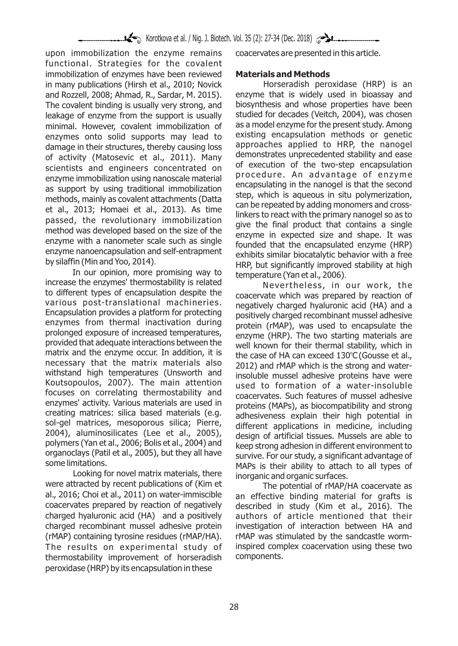upon immobilization the enzyme remains functional. Strategies for the covalent immobilization of enzymes have been reviewed in many publications (Hirsh et al., 2010; Novick and Rozzell, 2008; Ahmad, R., Sardar, M. 2015). The covalent binding is usually very strong, and leakage of enzyme from the support is usually minimal. However, covalent immobilization of enzymes onto solid supports may lead to damage in their structures, thereby causing loss of activity (Matosevic et al., 2011). Many scientists and engineers concentrated on enzyme immobilization using nanoscale material as support by using traditional immobilization methods, mainly as covalent attachments (Datta et al., 2013; Homaei et al., 2013). As time passed, the revolutionary immobilization method was developed based on the size of the enzyme with a nanometer scale such as single enzyme nanoencapsulation and self-entrapment by silaffin (Min and Yoo, 2014).

In our opinion, more promising way to increase the enzymes' thermostability is related to different types of encapsulation despite the various post-translational machineries. Encapsulation provides a platform for protecting enzymes from thermal inactivation during prolonged exposure of increased temperatures, provided that adequate interactions between the matrix and the enzyme occur. In addition, it is necessary that the matrix materials also withstand high temperatures (Unsworth and Koutsopoulos, 2007). The main attention focuses on correlating thermostability and enzymes' activity. Various materials are used in creating matrices: silica based materials (e.g. sol-gel matrices, mesoporous silica; Pierre, 2004), aluminosilicates (Lee et al., 2005), polymers (Yan et al., 2006; Bolis et al., 2004) and organoclays (Patil et al., 2005), but they all have some limitations.

Looking for novel matrix materials, there were attracted by recent publications of (Kim et al., 2016; Choi et al., 2011) on water-immiscible coacervates prepared by reaction of negatively charged hyaluronic acid (НА) and a positively charged recombinant mussel adhesive protein (rMAP) containing tyrosine residues (rMAP/HA). The results on experimental study of thermostability improvement of horseradish peroxidase (HRP) by its encapsulation in these

coacervates are presented in this article.

# **Materials and Methods**

Horseradish peroxidase (HRP) is an enzyme that is widely used in bioassay and biosynthesis and whose properties have been studied for decades (Veitch, 2004), was chosen as a model enzyme for the present study. Among existing encapsulation methods or genetic approaches applied to HRP, the nanogel demonstrates unprecedented stability and ease of execution of the two-step encapsulation procedure. An advantage of enzyme encapsulating in the nanogel is that the second step, which is aqueous in situ polymerization, can be repeated by adding monomers and crosslinkers to react with the primary nanogel so as to give the final product that contains a single enzyme in expected size and shape. It was founded that the encapsulated enzyme (HRP) exhibits similar biocatalytic behavior with a free HRP, but significantly improved stability at high temperature (Yan et al., 2006).

Nevertheless, in our work, the coacervate which was prepared by reaction of negatively charged hyaluronic acid (HA) and a positively charged recombinant mussel adhesive protein (rMAP), was used to encapsulate the enzyme (HRP). The two starting materials are well known for their thermal stability, which in the case of HA can exceed 130°C (Gousse et al., 2012) and rMAP which is the strong and waterinsoluble mussel adhesive proteins have were used to formation of a water-insoluble coacervates. Such features of mussel adhesive proteins (MAPs), as biocompatibility and strong adhesiveness explain their high potential in different applications in medicine, including design of artificial tissues. Mussels are able to keep strong adhesion in different environment to survive. For our study, a significant advantage of MAPs is their ability to attach to all types of inorganic and organic surfaces.

The potential of rMAP/HA coacervate as an effective binding material for grafts is described in study (Kim et al., 2016). The authors of article mentioned that their investigation of interaction between HA and rMAP was stimulated by the sandcastle worminspired complex coacervation using these two components.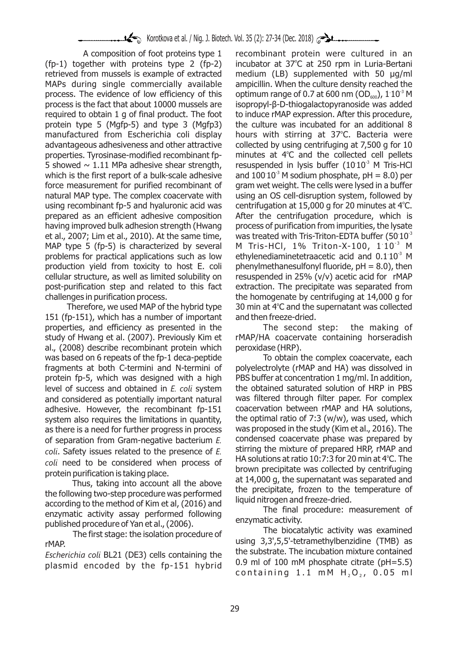A composition of foot proteins type 1 (fp-1) together with proteins type 2 (fp-2) retrieved from mussels is example of extracted MAPs during single commercially available process. The evidence of low efficiency of this process is the fact that about 10000 mussels are required to obtain 1 g of final product. The foot protein type 5 (Mgfp-5) and type 3 (Mgfp3) manufactured from Escherichia coli display advantageous adhesiveness and other attractive properties. Tyrosinase-modified recombinant fp-5 showed  $\sim$  1.11 MPa adhesive shear strength, which is the first report of a bulk-scale adhesive force measurement for purified recombinant of natural MAP type. The complex coacervate with using recombinant fp-5 and hyaluronic acid was prepared as an efficient adhesive composition having improved bulk adhesion strength (Hwang et al., 2007; Lim et al., 2010). At the same time, MAP type 5 (fp-5) is characterized by several problems for practical applications such as low production yield from toxicity to host E. coli cellular structure, as well as limited solubility on post-purification step and related to this fact challenges in purification process.

Therefore, we used MAP of the hybrid type 151 (fp-151), which has a number of important properties, and efficiency as presented in the study of Hwang et al. (2007). Previously Kim et al., (2008) describe recombinant protein which was based on 6 repeats of the fp-1 deca-peptide fragments at both C-termini and N-termini of protein fp-5, which was designed with a high level of success and obtained in *E. coli* system and considered as potentially important natural adhesive. However, the recombinant fp-151 system also requires the limitations in quantity, as there is a need for further progress in process of separation from Gram-negative bacterium *E. coli*. Safety issues related to the presence of *E. coli* need to be considered when process of protein purification is taking place.

Thus, taking into account all the above the following two-step procedure was performed according to the method of Kim et al, (2016) and enzymatic activity assay performed following published procedure of Yan et al., (2006).

The first stage: the isolation procedure of rMAP.

*Escherichia coli* BL21 (DE3) cells containing the plasmid encoded by the fp-151 hybrid recombinant protein were cultured in an incubator at 37°C at 250 rpm in Luria-Bertani medium (LB) supplemented with 50 μg/ml ampicillin. When the culture density reached the optimum range of 0.7 at 600 nm (OD $_{600}$ ), 1 10<sup>3</sup> M isopropyl-β-D-thiogalactopyranoside was added to induce rMAP expression. After this procedure, the culture was incubated for an additional 8 hours with stirring at 37°C. Bacteria were collected by using centrifuging at 7,500 g for 10 minutes at  $4^\circ$ C and the collected cell pellets resuspended in lysis buffer  $(10 10<sup>3</sup>$  M Tris-HCl and  $100 10<sup>3</sup>$  M sodium phosphate, pH = 8.0) per gram wet weight. The cells were lysed in a buffer using an OS cell-disruption system, followed by centrifugation at 15,000 g for 20 minutes at 4°C. After the centrifugation procedure, which is process of purification from impurities, the lysate was treated with Tris-Triton-EDTA buffer (50  $10^{-3}$ M Tris-HCl, 1% Triton-X-100, 1:10<sup>-3</sup> M ethylenediaminetetraacetic acid and  $0.1 10<sup>3</sup>$  M phenylmethanesulfonyl fluoride,  $pH = 8.0$ ), then resuspended in 25% (v/v) acetic acid for rMAP extraction. The precipitate was separated from the homogenate by centrifuging at 14,000 g for 30 min at 4°C and the supernatant was collected and then freeze-dried.

The second step: the making of rMAP/HA coacervate containing horseradish peroxidase (HRP).

To obtain the complex coacervate, each polyelectrolyte (rMAP and HA) was dissolved in PBS buffer at concentration 1 mg/ml. In addition, the obtained saturated solution of HRP in PBS was filtered through filter paper. For complex coacervation between rMAP and HA solutions, the optimal ratio of  $7:3$  (w/w), was used, which was proposed in the study (Kim et al., 2016). The condensed coacervate phase was prepared by stirring the mixture of prepared HRP, rMAP and HA solutions at ratio 10:7:3 for 20 min at  $4^{\circ}$ C. The brown precipitate was collected by centrifuging at 14,000 g, the supernatant was separated and the precipitate, frozen to the temperature of liquid nitrogen and freeze-dried.

The final procedure: measurement of enzymatic activity.

The biocatalytic activity was examined using 3,3',5,5'-tetramethylbenzidine (TMB) as the substrate. The incubation mixture contained 0.9 ml of 100 mM phosphate citrate (pH=5.5) containing 1.1 mM  $H_2O_2$ , 0.05 ml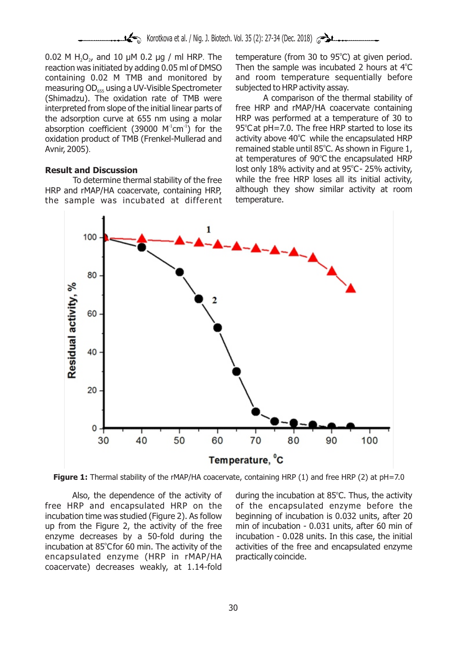0.02 M H<sub>2</sub>O<sub>2</sub>, and 10  $\mu$ M 0.2  $\mu$ g / ml HRP. The reaction was initiated by adding 0.05 ml of DMSO containing 0.02 M TMB and monitored by measuring OD<sub>655</sub> using a UV-Visible Spectrometer (Shimadzu). The oxidation rate of TMB were interpreted from slope of the initial linear parts of the adsorption curve at 655 nm using a molar absorption coefficient (39000  $M<sup>1</sup>$ cm<sup>-1</sup>) for the oxidation product of TMB (Frenkel-Mullerad and Avnir, 2005).

### **Result and Discussion**

To determine thermal stability of the free HRP and rMAP/HA coacervate, containing HRP, the sample was incubated at different

temperature (from 30 to 95°C) at given period. Then the sample was incubated 2 hours at  $4^\circ\text{C}$ and room temperature sequentially before subjected to HRP activity assay.

A comparison of the thermal stability of free HRP and rMAP/HA coacervate containing HRP was performed at a temperature of 30 to 95°C at pH=7.0. The free HRP started to lose its activity above 40°C while the encapsulated HRP remained stable until 85°C. As shown in Figure 1, at temperatures of 90°C the encapsulated HRP lost only 18% activity and at 95°C-25% activity, while the free HRP loses all its initial activity, although they show similar activity at room temperature.



**Figure 1:** Thermal stability of the rMAP/HA coacervate, containing HRP (1) and free HRP (2) at pH=7.0

Also, the dependence of the activity of free HRP and encapsulated HRP on the incubation time was studied (Figure 2). As follow up from the Figure 2, the activity of the free enzyme decreases by a 50-fold during the incubation at 85°C for 60 min. The activity of the encapsulated enzyme (HRP in rMAP/HA coacervate) decreases weakly, at 1.14-fold

during the incubation at 85°C. Thus, the activity of the encapsulated enzyme before the beginning of incubation is 0.032 units, after 20 min of incubation - 0.031 units, after 60 min of incubation - 0.028 units. In this case, the initial activities of the free and encapsulated enzyme practically coincide.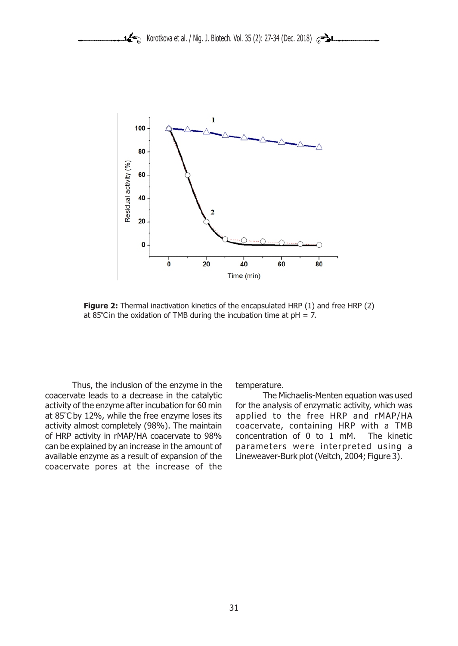

**Figure 2:** Thermal inactivation kinetics of the encapsulated HRP (1) and free HRP (2) at 85°C in the oxidation of TMB during the incubation time at  $pH = 7$ .

Thus, the inclusion of the enzyme in the coacervate leads to a decrease in the catalytic activity of the enzyme after incubation for 60 min at 85°C by 12%, while the free enzyme loses its activity almost completely (98%). The maintain of HRP activity in rMAP/HA coacervate to 98% can be explained by an increase in the amount of available enzyme as a result of expansion of the coacervate pores at the increase of the

temperature.

The Michaelis-Menten equation was used for the analysis of enzymatic activity, which was applied to the free HRP and rMAP/HA coacervate, containing HRP with a TMB concentration of 0 to 1 mM. The kinetic parameters were interpreted using a Lineweaver-Burk plot (Veitch, 2004; Figure 3).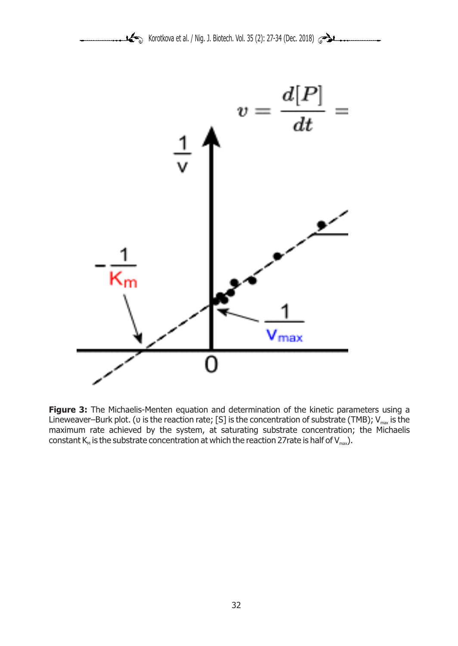

Figure 3: The Michaelis-Menten equation and determination of the kinetic parameters using a Lineweaver–Burk plot. ( $\upsilon$  is the reaction rate; [S] is the concentration of substrate (TMB);  $V_{\text{max}}$  is the maximum rate achieved by the system, at saturating substrate concentration; the Michaelis constant  $K_M$  is the substrate concentration at which the reaction 27rate is half of  $V_{\text{max}}$ ).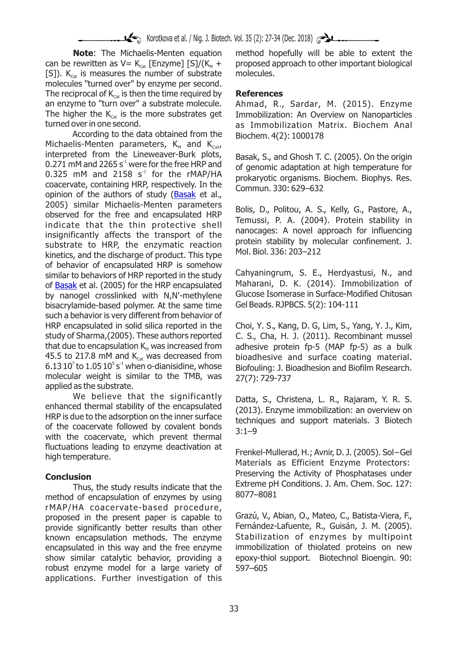**Note**: The Michaelis-Menten equation can be rewritten as  $V= K_{\text{cav}}$  [Enzyme] [S]/( $K_{\text{av}}$  + [S]).  $K_{\text{cat}}$  is measures the number of substrate molecules "turned over" by enzyme per second. The reciprocal of  $K_{\text{cat}}$  is then the time required by an enzyme to "turn over" a substrate molecule. The higher the  $K_{\text{ext}}$  is the more substrates get turned over in one second.

According to the data obtained from the Michaelis-Menten parameters,  $K_{M}$  and  $K_{Cat}$ interpreted from the Lineweaver-Burk plots, 0.271 mM and 2265 s<sup> $1$ </sup> were for the free HRP and 0.325 mM and 2158  $s<sup>-1</sup>$  for the rMAP/HA coacervate, containing HRP, respectively. In the opinion of the authors of study (Basak et al., 2005) similar Michaelis-Menten parameters observed for the free and encapsulated HRP indicate that the thin protective shell insignificantly affects the transport of the substrate to HRP, the enzymatic reaction kinetics, and the discharge of product. This type of behavior of encapsulated HRP is somehow similar to behaviors of HRP reported in the study of Basak et al. (2005) for the HRP encapsulated by nanogel crosslinked with N,N'-methylene bisacrylamide-based polymer. At the same time such a behavior is very different from behavior of HRP encapsulated in solid silica reported in the study of Sharma,(2005). These authors reported that due to encapsulation  $K_{M}$  was increased from 45.5 to 217.8 mM and  $K_{\text{cat}}$  was decreased from 6.13  $10^7$  to 1.05  $10^5$  s<sup>1</sup> when o-dianisidine, whose molecular weight is similar to the TMB, was applied as the substrate.

We believe that the significantly enhanced thermal stability of the encapsulated HRP is due to the adsorption on the inner surface of the coacervate followed by covalent bonds with the coacervate, which prevent thermal fluctuations leading to enzyme deactivation at high temperature.

## **Conclusion**

Thus, the study results indicate that the method of encapsulation of enzymes by using rMAP/HA coacervate-based procedure, proposed in the present paper is capable to provide significantly better results than other known encapsulation methods. The enzyme encapsulated in this way and the free enzyme show similar catalytic behavior, providing a robust enzyme model for a large variety of applications. Further investigation of this

method hopefully will be able to extent the proposed approach to other important biological molecules.

## **References**

Ahmad, R., Sardar, M. (2015). Enzyme Immobilization: An Overview on Nanoparticles as Immobilization Matrix. Biochem Anal Biochem. 4(2): 1000178

Basak, S., and Ghosh T. C. (2005). On the origin of genomic adaptation at high temperature for prokaryotic organisms. Biochem. Biophys. Res. Commun. 330: 629–632

Bolis, D., Politou, A. S., Kelly, G., Pastore, A., Temussi, P. A. (2004). Protein stability in nanocages: A novel approach for influencing protein stability by molecular confinement. J. Mol. Biol. 336: 203–212

Cahyaningrum, S. E., Herdyastusi, N., and Maharani, D. K. (2014). Immobilization of Glucose Isomerase in Surface-Modified Chitosan Gel Beads. RJPBCS. 5(2): 104-111

Choi, Y. S., Kang, D. G, Lim, S., Yang, Y. J., Kim, C. S., Cha, H. J. (2011). Recombinant mussel adhesive protein fp-5 (MAP fp-5) as a bulk bioadhesive and surface coating material. Biofouling: J. Bioadhesion and Biofilm Research. 27(7): 729-737

Datta, S., Christena, L. R., Rajaram, Y. R. S. (2013). Enzyme immobilization: an overview on techniques and support materials. 3 Biotech 3:1–9

Frenkel-Mullerad, H.; Avnir, D. J. (2005). Sol−Gel Materials as Efficient Enzyme Protectors:  Preserving the Activity of Phosphatases under Extreme pH Conditions. J. Am. Chem. Soc. 127: 8077–8081

Grazú, V., Abian, O., Mateo, C., Batista-Viera, F., Fernández-Lafuente, R., Guisán, J. M. (2005). Stabilization of enzymes by multipoint immobilization of thiolated proteins on new epoxy-thiol support. Biotechnol Bioengin. 90: 597–605